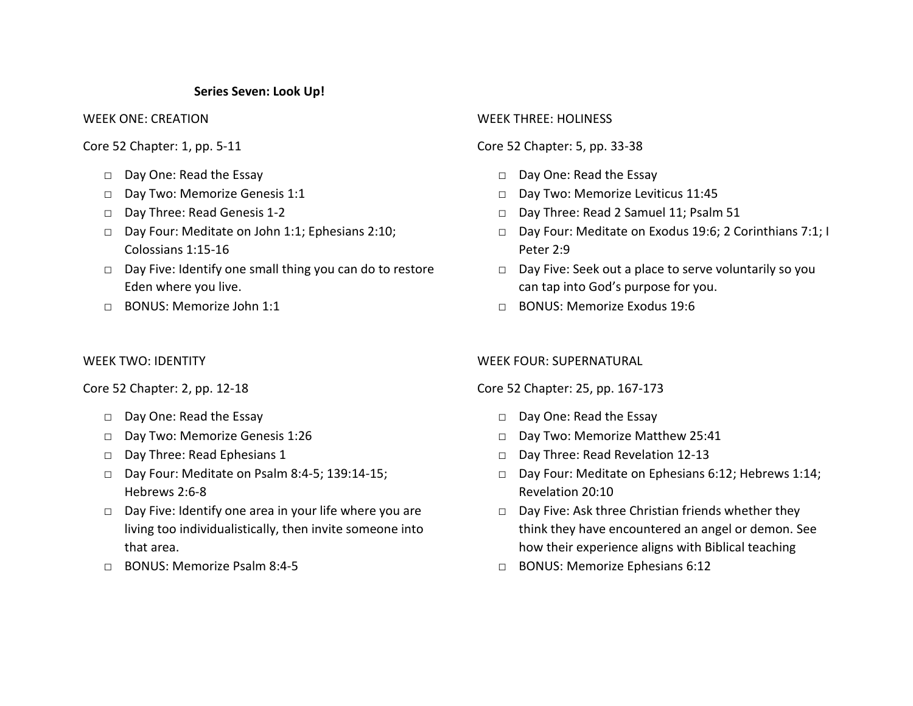### **Series Seven: Look Up!**

WEEK ONE: CREATION

Core 52 Chapter: 1, pp. 5-11

- □ Day One: Read the Essay
- Day Two: Memorize Genesis 1:1
- □ Day Three: Read Genesis 1-2
- □ Day Four: Meditate on John 1:1; Ephesians 2:10; Colossians 1:15-16
- □ Day Five: Identify one small thing you can do to restore Eden where you live.
- □ BONUS: Memorize John 1:1

### WEEK TWO: IDENTITY

Core 52 Chapter: 2, pp. 12-18

- □ Day One: Read the Essay
- □ Day Two: Memorize Genesis 1:26
- □ Day Three: Read Ephesians 1
- □ Day Four: Meditate on Psalm 8:4-5; 139:14-15; Hebrews 2:6-8
- □ Day Five: Identify one area in your life where you are living too individualistically, then invite someone into that area.
- □ BONUS: Memorize Psalm 8:4-5

## WEEK THREE: HOLINESS

# Core 52 Chapter: 5, pp. 33-38

- □ Day One: Read the Essay
- □ Day Two: Memorize Leviticus 11:45
- □ Day Three: Read 2 Samuel 11; Psalm 51
- □ Day Four: Meditate on Exodus 19:6; 2 Corinthians 7:1; I Peter 2:9
- □ Day Five: Seek out a place to serve voluntarily so you can tap into God's purpose for you.
- □ BONUS: Memorize Exodus 19:6

### WEEK FOUR: SUPERNATURAL

Core 52 Chapter: 25, pp. 167-173

- □ Day One: Read the Essay
- □ Day Two: Memorize Matthew 25:41
- □ Day Three: Read Revelation 12-13
- □ Day Four: Meditate on Ephesians 6:12; Hebrews 1:14; Revelation 20:10
- □ Day Five: Ask three Christian friends whether they think they have encountered an angel or demon. See how their experience aligns with Biblical teaching
- □ BONUS: Memorize Ephesians 6:12